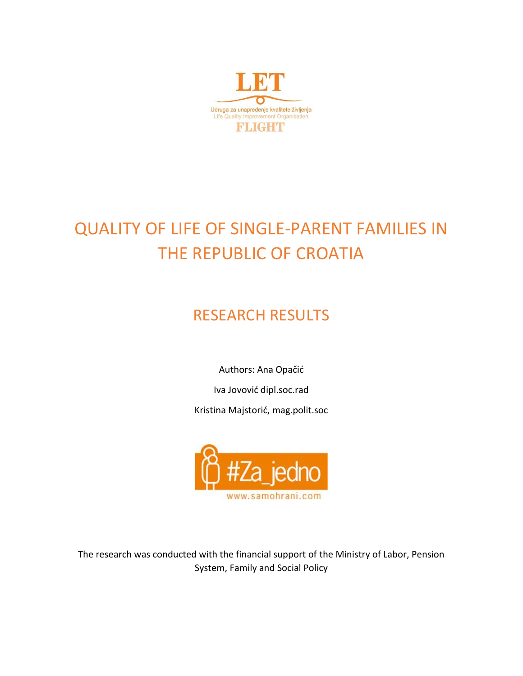

# QUALITY OF LIFE OF SINGLE-PARENT FAMILIES IN THE REPUBLIC OF CROATIA

# RESEARCH RESULTS

Authors: Ana Opačić

Iva Jovović dipl.soc.rad

Kristina Majstorić, mag.polit.soc



The research was conducted with the financial support of the Ministry of Labor, Pension System, Family and Social Policy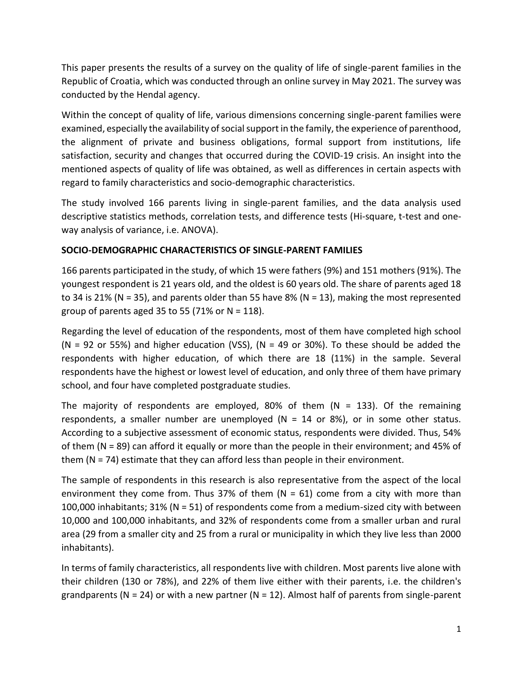This paper presents the results of a survey on the quality of life of single-parent families in the Republic of Croatia, which was conducted through an online survey in May 2021. The survey was conducted by the Hendal agency.

Within the concept of quality of life, various dimensions concerning single-parent families were examined, especially the availability of social support in the family, the experience of parenthood, the alignment of private and business obligations, formal support from institutions, life satisfaction, security and changes that occurred during the COVID-19 crisis. An insight into the mentioned aspects of quality of life was obtained, as well as differences in certain aspects with regard to family characteristics and socio-demographic characteristics.

The study involved 166 parents living in single-parent families, and the data analysis used descriptive statistics methods, correlation tests, and difference tests (Hi-square, t-test and oneway analysis of variance, i.e. ANOVA).

## **SOCIO-DEMOGRAPHIC CHARACTERISTICS OF SINGLE-PARENT FAMILIES**

166 parents participated in the study, of which 15 were fathers (9%) and 151 mothers (91%). The youngest respondent is 21 years old, and the oldest is 60 years old. The share of parents aged 18 to 34 is 21% (N = 35), and parents older than 55 have 8% (N = 13), making the most represented group of parents aged 35 to 55 (71% or  $N = 118$ ).

Regarding the level of education of the respondents, most of them have completed high school (N = 92 or 55%) and higher education (VSS), (N = 49 or 30%). To these should be added the respondents with higher education, of which there are 18 (11%) in the sample. Several respondents have the highest or lowest level of education, and only three of them have primary school, and four have completed postgraduate studies.

The majority of respondents are employed, 80% of them (N = 133). Of the remaining respondents, a smaller number are unemployed ( $N = 14$  or 8%), or in some other status. According to a subjective assessment of economic status, respondents were divided. Thus, 54% of them (N = 89) can afford it equally or more than the people in their environment; and 45% of them (N = 74) estimate that they can afford less than people in their environment.

The sample of respondents in this research is also representative from the aspect of the local environment they come from. Thus 37% of them  $(N = 61)$  come from a city with more than 100,000 inhabitants; 31% (N = 51) of respondents come from a medium-sized city with between 10,000 and 100,000 inhabitants, and 32% of respondents come from a smaller urban and rural area (29 from a smaller city and 25 from a rural or municipality in which they live less than 2000 inhabitants).

In terms of family characteristics, all respondents live with children. Most parents live alone with their children (130 or 78%), and 22% of them live either with their parents, i.e. the children's grandparents ( $N = 24$ ) or with a new partner ( $N = 12$ ). Almost half of parents from single-parent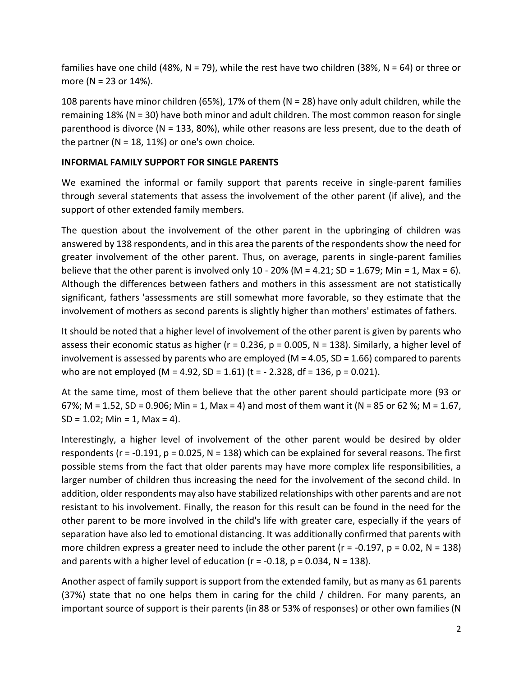families have one child (48%, N = 79), while the rest have two children (38%, N = 64) or three or more (N = 23 or 14%).

108 parents have minor children (65%), 17% of them (N = 28) have only adult children, while the remaining 18% (N = 30) have both minor and adult children. The most common reason for single parenthood is divorce (N = 133, 80%), while other reasons are less present, due to the death of the partner ( $N = 18$ , 11%) or one's own choice.

#### **INFORMAL FAMILY SUPPORT FOR SINGLE PARENTS**

We examined the informal or family support that parents receive in single-parent families through several statements that assess the involvement of the other parent (if alive), and the support of other extended family members.

The question about the involvement of the other parent in the upbringing of children was answered by 138 respondents, and in this area the parents of the respondents show the need for greater involvement of the other parent. Thus, on average, parents in single-parent families believe that the other parent is involved only 10 - 20% (M = 4.21; SD = 1.679; Min = 1, Max = 6). Although the differences between fathers and mothers in this assessment are not statistically significant, fathers 'assessments are still somewhat more favorable, so they estimate that the involvement of mothers as second parents is slightly higher than mothers' estimates of fathers.

It should be noted that a higher level of involvement of the other parent is given by parents who assess their economic status as higher ( $r = 0.236$ ,  $p = 0.005$ ,  $N = 138$ ). Similarly, a higher level of involvement is assessed by parents who are employed ( $M = 4.05$ , SD = 1.66) compared to parents who are not employed (M = 4.92, SD = 1.61) (t =  $-$  2.328, df = 136, p = 0.021).

At the same time, most of them believe that the other parent should participate more (93 or 67%; M = 1.52, SD = 0.906; Min = 1, Max = 4) and most of them want it (N = 85 or 62 %; M = 1.67,  $SD = 1.02$ ; Min = 1, Max = 4).

Interestingly, a higher level of involvement of the other parent would be desired by older respondents ( $r = -0.191$ ,  $p = 0.025$ ,  $N = 138$ ) which can be explained for several reasons. The first possible stems from the fact that older parents may have more complex life responsibilities, a larger number of children thus increasing the need for the involvement of the second child. In addition, older respondents may also have stabilized relationships with other parents and are not resistant to his involvement. Finally, the reason for this result can be found in the need for the other parent to be more involved in the child's life with greater care, especially if the years of separation have also led to emotional distancing. It was additionally confirmed that parents with more children express a greater need to include the other parent ( $r = -0.197$ ,  $p = 0.02$ ,  $N = 138$ ) and parents with a higher level of education ( $r = -0.18$ ,  $p = 0.034$ ,  $N = 138$ ).

Another aspect of family support is support from the extended family, but as many as 61 parents (37%) state that no one helps them in caring for the child / children. For many parents, an important source of support is their parents (in 88 or 53% of responses) or other own families (N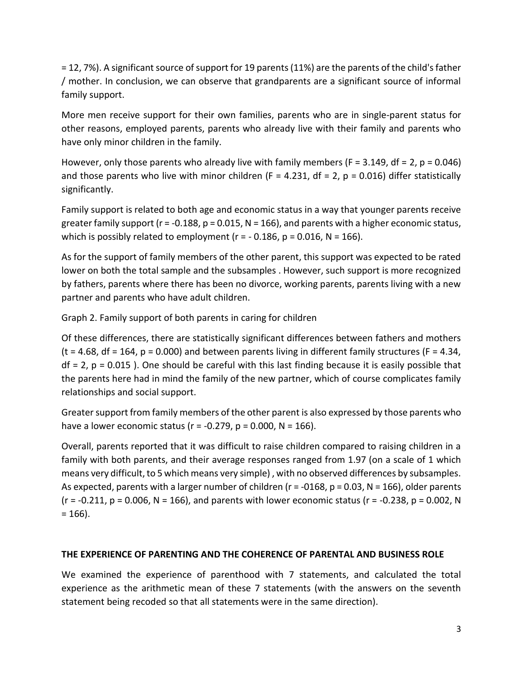= 12, 7%). A significant source of support for 19 parents (11%) are the parents of the child's father / mother. In conclusion, we can observe that grandparents are a significant source of informal family support.

More men receive support for their own families, parents who are in single-parent status for other reasons, employed parents, parents who already live with their family and parents who have only minor children in the family.

However, only those parents who already live with family members ( $F = 3.149$ , df = 2,  $p = 0.046$ ) and those parents who live with minor children ( $F = 4.231$ ,  $df = 2$ ,  $p = 0.016$ ) differ statistically significantly.

Family support is related to both age and economic status in a way that younger parents receive greater family support ( $r = -0.188$ ,  $p = 0.015$ ,  $N = 166$ ), and parents with a higher economic status, which is possibly related to employment ( $r = -0.186$ ,  $p = 0.016$ ,  $N = 166$ ).

As for the support of family members of the other parent, this support was expected to be rated lower on both the total sample and the subsamples . However, such support is more recognized by fathers, parents where there has been no divorce, working parents, parents living with a new partner and parents who have adult children.

Graph 2. Family support of both parents in caring for children

Of these differences, there are statistically significant differences between fathers and mothers (t = 4.68, df = 164,  $p = 0.000$ ) and between parents living in different family structures (F = 4.34,  $df = 2$ ,  $p = 0.015$ ). One should be careful with this last finding because it is easily possible that the parents here had in mind the family of the new partner, which of course complicates family relationships and social support.

Greater support from family members of the other parent is also expressed by those parents who have a lower economic status ( $r = -0.279$ ,  $p = 0.000$ ,  $N = 166$ ).

Overall, parents reported that it was difficult to raise children compared to raising children in a family with both parents, and their average responses ranged from 1.97 (on a scale of 1 which means very difficult, to 5 which means very simple) , with no observed differences by subsamples. As expected, parents with a larger number of children ( $r = -0168$ ,  $p = 0.03$ ,  $N = 166$ ), older parents  $(r = -0.211, p = 0.006, N = 166)$ , and parents with lower economic status  $(r = -0.238, p = 0.002, N$  $= 166$ ).

### **THE EXPERIENCE OF PARENTING AND THE COHERENCE OF PARENTAL AND BUSINESS ROLE**

We examined the experience of parenthood with 7 statements, and calculated the total experience as the arithmetic mean of these 7 statements (with the answers on the seventh statement being recoded so that all statements were in the same direction).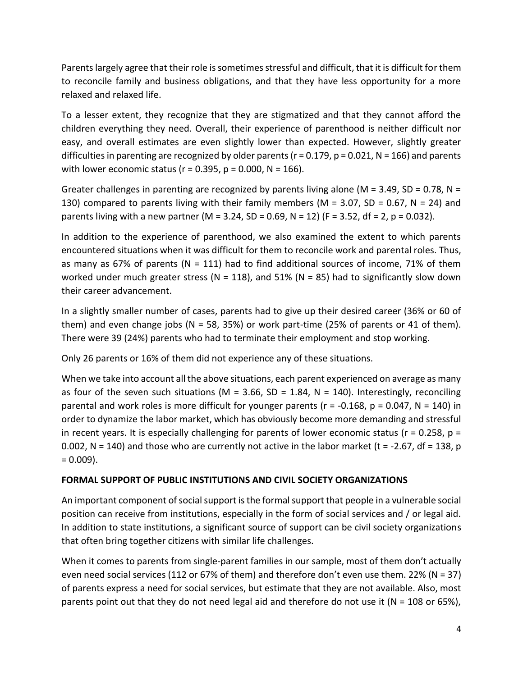Parents largely agree that their role is sometimes stressful and difficult, that it is difficult for them to reconcile family and business obligations, and that they have less opportunity for a more relaxed and relaxed life.

To a lesser extent, they recognize that they are stigmatized and that they cannot afford the children everything they need. Overall, their experience of parenthood is neither difficult nor easy, and overall estimates are even slightly lower than expected. However, slightly greater difficulties in parenting are recognized by older parents ( $r = 0.179$ ,  $p = 0.021$ ,  $N = 166$ ) and parents with lower economic status ( $r = 0.395$ ,  $p = 0.000$ ,  $N = 166$ ).

Greater challenges in parenting are recognized by parents living alone ( $M = 3.49$ , SD = 0.78, N = 130) compared to parents living with their family members (M =  $3.07$ , SD =  $0.67$ , N =  $24$ ) and parents living with a new partner (M = 3.24, SD = 0.69, N = 12) (F = 3.52, df = 2, p = 0.032).

In addition to the experience of parenthood, we also examined the extent to which parents encountered situations when it was difficult for them to reconcile work and parental roles. Thus, as many as 67% of parents (N = 111) had to find additional sources of income, 71% of them worked under much greater stress (N = 118), and 51% (N = 85) had to significantly slow down their career advancement.

In a slightly smaller number of cases, parents had to give up their desired career (36% or 60 of them) and even change jobs ( $N = 58$ , 35%) or work part-time (25% of parents or 41 of them). There were 39 (24%) parents who had to terminate their employment and stop working.

Only 26 parents or 16% of them did not experience any of these situations.

When we take into account all the above situations, each parent experienced on average as many as four of the seven such situations (M = 3.66, SD = 1.84, N = 140). Interestingly, reconciling parental and work roles is more difficult for younger parents ( $r = -0.168$ ,  $p = 0.047$ ,  $N = 140$ ) in order to dynamize the labor market, which has obviously become more demanding and stressful in recent years. It is especially challenging for parents of lower economic status ( $r = 0.258$ ,  $p =$ 0.002, N = 140) and those who are currently not active in the labor market (t = -2.67, df = 138, p  $= 0.009$ ).

### **FORMAL SUPPORT OF PUBLIC INSTITUTIONS AND CIVIL SOCIETY ORGANIZATIONS**

An important component of social support is the formal support that people in a vulnerable social position can receive from institutions, especially in the form of social services and / or legal aid. In addition to state institutions, a significant source of support can be civil society organizations that often bring together citizens with similar life challenges.

When it comes to parents from single-parent families in our sample, most of them don't actually even need social services (112 or 67% of them) and therefore don't even use them. 22% (N = 37) of parents express a need for social services, but estimate that they are not available. Also, most parents point out that they do not need legal aid and therefore do not use it ( $N = 108$  or 65%),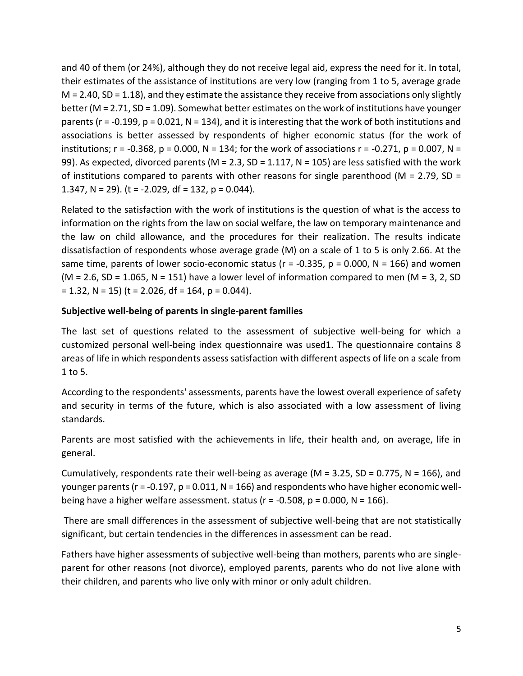and 40 of them (or 24%), although they do not receive legal aid, express the need for it. In total, their estimates of the assistance of institutions are very low (ranging from 1 to 5, average grade  $M = 2.40$ , SD = 1.18), and they estimate the assistance they receive from associations only slightly better (M = 2.71, SD = 1.09). Somewhat better estimates on the work of institutions have younger parents (r = -0.199, p = 0.021, N = 134), and it is interesting that the work of both institutions and associations is better assessed by respondents of higher economic status (for the work of institutions; r = -0.368, p = 0.000, N = 134; for the work of associations r = -0.271, p = 0.007, N = 99). As expected, divorced parents ( $M = 2.3$ , SD = 1.117, N = 105) are less satisfied with the work of institutions compared to parents with other reasons for single parenthood ( $M = 2.79$ , SD = 1.347, N = 29). (t =  $-2.029$ , df = 132, p = 0.044).

Related to the satisfaction with the work of institutions is the question of what is the access to information on the rights from the law on social welfare, the law on temporary maintenance and the law on child allowance, and the procedures for their realization. The results indicate dissatisfaction of respondents whose average grade (M) on a scale of 1 to 5 is only 2.66. At the same time, parents of lower socio-economic status ( $r = -0.335$ ,  $p = 0.000$ ,  $N = 166$ ) and women ( $M = 2.6$ ,  $SD = 1.065$ ,  $N = 151$ ) have a lower level of information compared to men ( $M = 3$ , 2, SD  $= 1.32$ , N = 15) (t = 2.026, df = 164, p = 0.044).

#### **Subjective well-being of parents in single-parent families**

The last set of questions related to the assessment of subjective well-being for which a customized personal well-being index questionnaire was used1. The questionnaire contains 8 areas of life in which respondents assess satisfaction with different aspects of life on a scale from 1 to 5.

According to the respondents' assessments, parents have the lowest overall experience of safety and security in terms of the future, which is also associated with a low assessment of living standards.

Parents are most satisfied with the achievements in life, their health and, on average, life in general.

Cumulatively, respondents rate their well-being as average ( $M = 3.25$ , SD = 0.775, N = 166), and younger parents ( $r = -0.197$ ,  $p = 0.011$ ,  $N = 166$ ) and respondents who have higher economic wellbeing have a higher welfare assessment. status  $(r = -0.508, p = 0.000, N = 166)$ .

There are small differences in the assessment of subjective well-being that are not statistically significant, but certain tendencies in the differences in assessment can be read.

Fathers have higher assessments of subjective well-being than mothers, parents who are singleparent for other reasons (not divorce), employed parents, parents who do not live alone with their children, and parents who live only with minor or only adult children.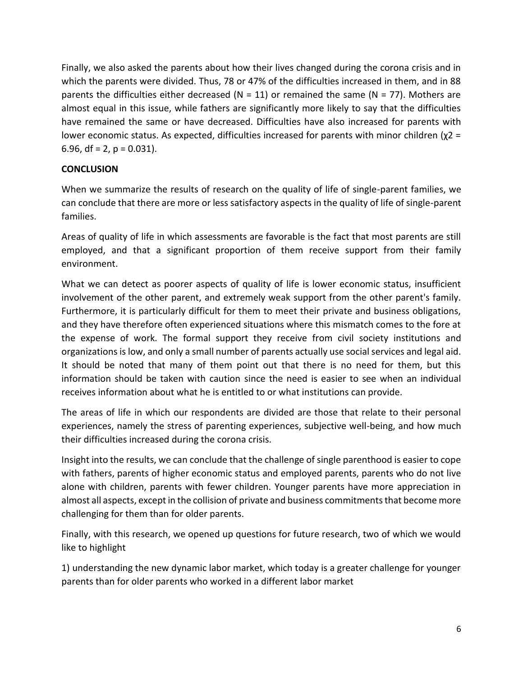Finally, we also asked the parents about how their lives changed during the corona crisis and in which the parents were divided. Thus, 78 or 47% of the difficulties increased in them, and in 88 parents the difficulties either decreased ( $N = 11$ ) or remained the same ( $N = 77$ ). Mothers are almost equal in this issue, while fathers are significantly more likely to say that the difficulties have remained the same or have decreased. Difficulties have also increased for parents with lower economic status. As expected, difficulties increased for parents with minor children (χ2 = 6.96,  $df = 2$ ,  $p = 0.031$ ).

### **CONCLUSION**

When we summarize the results of research on the quality of life of single-parent families, we can conclude that there are more or less satisfactory aspects in the quality of life of single-parent families.

Areas of quality of life in which assessments are favorable is the fact that most parents are still employed, and that a significant proportion of them receive support from their family environment.

What we can detect as poorer aspects of quality of life is lower economic status, insufficient involvement of the other parent, and extremely weak support from the other parent's family. Furthermore, it is particularly difficult for them to meet their private and business obligations, and they have therefore often experienced situations where this mismatch comes to the fore at the expense of work. The formal support they receive from civil society institutions and organizations is low, and only a small number of parents actually use social services and legal aid. It should be noted that many of them point out that there is no need for them, but this information should be taken with caution since the need is easier to see when an individual receives information about what he is entitled to or what institutions can provide.

The areas of life in which our respondents are divided are those that relate to their personal experiences, namely the stress of parenting experiences, subjective well-being, and how much their difficulties increased during the corona crisis.

Insight into the results, we can conclude that the challenge of single parenthood is easier to cope with fathers, parents of higher economic status and employed parents, parents who do not live alone with children, parents with fewer children. Younger parents have more appreciation in almost all aspects, except in the collision of private and business commitments that become more challenging for them than for older parents.

Finally, with this research, we opened up questions for future research, two of which we would like to highlight

1) understanding the new dynamic labor market, which today is a greater challenge for younger parents than for older parents who worked in a different labor market